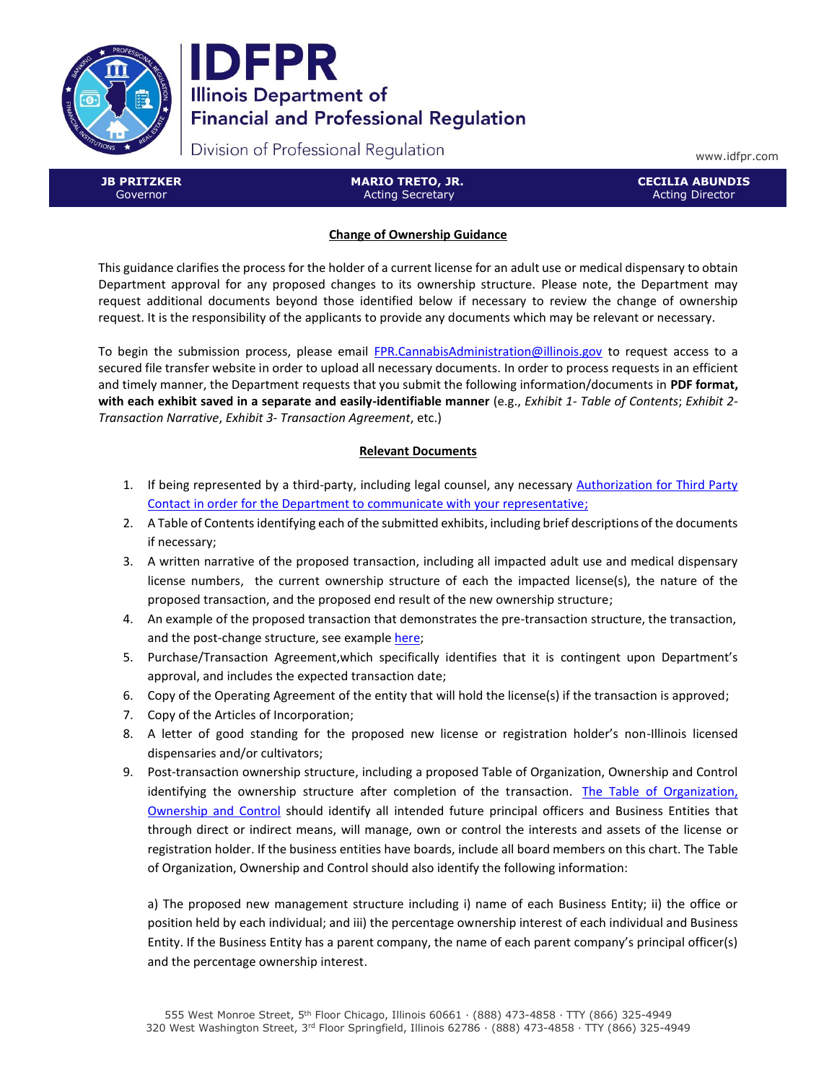



Division of Professional Regulation

www.idfpr.com

**JB PRITZKER** Governor

**MARIO TRETO, JR.** Acting Secretary

**CECILIA ABUNDIS** Acting Director

# **Change of Ownership Guidance**

This guidance clarifies the process for the holder of a current license for an adult use or medical dispensary to obtain Department approval for any proposed changes to its ownership structure. Please note, the Department may request additional documents beyond those identified below if necessary to review the change of ownership request. It is the responsibility of the applicants to provide any documents which may be relevant or necessary.

To begin the submission process, please email [FPR.CannabisAdministration@illinois.gov](mailto:FPR.CannabisAdministration@illinois.gov) to request access to a secured file transfer website in order to upload all necessary documents. In order to process requests in an efficient and timely manner, the Department requests that you submit the following information/documents in **PDF format, with each exhibit saved in a separate and easily-identifiable manner** (e.g., *Exhibit 1- Table of Contents*; *Exhibit 2- Transaction Narrative*, *Exhibit 3- Transaction Agreement*, etc.)

# **Relevant Documents**

- 1. If being represented by a third-party, including legal counsel, any necessary [Authorization for Third Party](https://www.idfpr.com/Forms/F2402.pdf)  [Contact](https://www.idfpr.com/Forms/F2402.pdf) in order for the Department to communicate with your representative;
- 2. A Table of Contents identifying each of the submitted exhibits, including brief descriptions of the documents if necessary;
- 3. A written narrative of the proposed transaction, including all impacted adult use and medical dispensary license numbers, the current ownership structure of each the impacted license(s), the nature of the proposed transaction, and the proposed end result of the new ownership structure;
- 4. An example of the proposed transaction that demonstrates the pre-transaction structure, the transaction, and the post-change structure, see example [here;](https://www.idfpr.com/Forms/AUC/Example%20of%20Pre%20and%20Post%20Transaction%20Summary.pdf)
- 5. Purchase/Transaction Agreement,which specifically identifies that it is contingent upon Department's approval, and includes the expected transaction date;
- 6. Copy of the Operating Agreement of the entity that will hold the license(s) if the transaction is approved;
- 7. Copy of the Articles of Incorporation;
- 8. A letter of good standing for the proposed new license or registration holder's non-Illinois licensed dispensaries and/or cultivators;
- 9. Post-transaction ownership structure, including a proposed Table of Organization, Ownership and Control identifying the ownership structure after completion of the transaction. [The Table of Organization,](https://www.idfpr.com/Forms/AUC/Sample%20Table%20of%20Organization%20Ownership%20and%20Control.pdf)  [Ownership and Control](https://www.idfpr.com/Forms/AUC/Sample%20Table%20of%20Organization%20Ownership%20and%20Control.pdf) should identify all intended future principal officers and Business Entities that through direct or indirect means, will manage, own or control the interests and assets of the license or registration holder. If the business entities have boards, include all board members on this chart. The Table of Organization, Ownership and Control should also identify the following information:

a) The proposed new management structure including i) name of each Business Entity; ii) the office or position held by each individual; and iii) the percentage ownership interest of each individual and Business Entity. If the Business Entity has a parent company, the name of each parent company's principal officer(s) and the percentage ownership interest.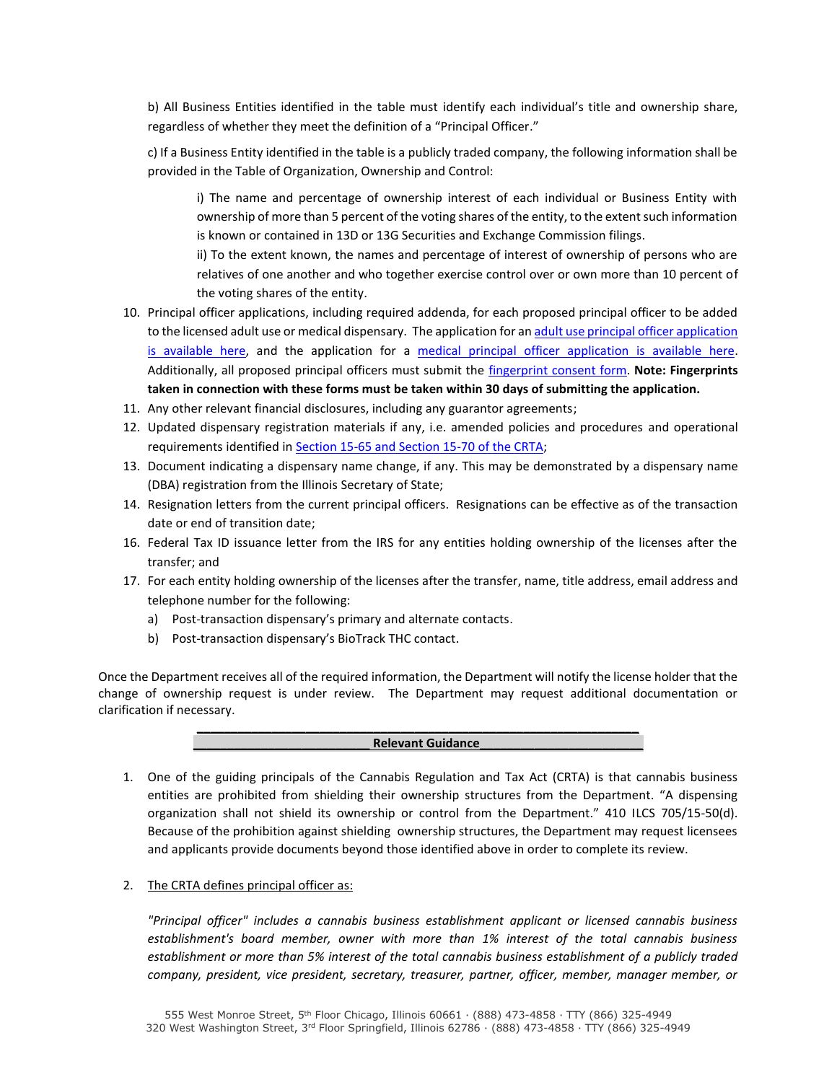b) All Business Entities identified in the table must identify each individual's title and ownership share, regardless of whether they meet the definition of a "Principal Officer."

c) If a Business Entity identified in the table is a publicly traded company, the following information shall be provided in the Table of Organization, Ownership and Control:

i) The name and percentage of ownership interest of each individual or Business Entity with ownership of more than 5 percent of the voting shares of the entity, to the extent such information is known or contained in 13D or 13G Securities and Exchange Commission filings.

ii) To the extent known, the names and percentage of interest of ownership of persons who are relatives of one another and who together exercise control over or own more than 10 percent of the voting shares of the entity.

- 10. Principal officer applications, including required addenda, for each proposed principal officer to be added to the licensed adult use or medical dispensary. The application for a[n adult use principal officer application](https://www.idfpr.com/Forms/AUC/F2379po.pdf)  [is available here,](https://www.idfpr.com/Forms/AUC/F2379po.pdf) and the application for a [medical principal officer application is available here.](https://www.idfpr.com/Forms/MC/F2266.pdf) Additionally, all proposed principal officers must submit the [fingerprint consent form.](https://www.idfpr.com/Forms/AUC/F2240.pdf) **Note: Fingerprints taken in connection with these forms must be taken within 30 days of submitting the application.**
- 11. Any other relevant financial disclosures, including any guarantor agreements;
- 12. Updated dispensary registration materials if any, i.e. amended policies and procedures and operational requirements identified i[n Section 15-65 and Section 15-70 of the CRTA;](https://www.ilga.gov/legislation/ilcs/ilcs4.asp?DocName=041007050HArt%2E+15&ActID=3992&ChapterID=35&SeqStart=3200000&SeqEnd=6900000)
- 13. Document indicating a dispensary name change, if any. This may be demonstrated by a dispensary name (DBA) registration from the Illinois Secretary of State;
- 14. Resignation letters from the current principal officers. Resignations can be effective as of the transaction date or end of transition date;
- 16. Federal Tax ID issuance letter from the IRS for any entities holding ownership of the licenses after the transfer; and
- 17. For each entity holding ownership of the licenses after the transfer, name, title address, email address and telephone number for the following:
	- a) Post-transaction dispensary's primary and alternate contacts.
	- b) Post-transaction dispensary's BioTrack THC contact.

Once the Department receives all of the required information, the Department will notify the license holder that the change of ownership request is under review. The Department may request additional documentation or clarification if necessary.

**\_\_\_\_\_\_\_\_\_\_\_\_\_\_\_\_\_\_\_\_\_\_\_\_\_\_\_\_\_\_\_\_\_\_\_\_\_\_\_\_\_\_\_\_\_\_\_\_\_\_\_\_\_\_\_\_\_\_\_\_\_\_\_\_\_**

### **\_\_\_\_\_\_\_\_\_\_\_\_\_\_\_\_\_\_\_\_\_\_\_\_\_\_ Relevant Guidance\_\_\_\_\_\_\_\_\_\_\_\_\_\_\_\_\_\_\_\_\_\_\_\_**

- 1. One of the guiding principals of the Cannabis Regulation and Tax Act (CRTA) is that cannabis business entities are prohibited from shielding their ownership structures from the Department. "A dispensing organization shall not shield its ownership or control from the Department." 410 ILCS 705/15-50(d). Because of the prohibition against shielding ownership structures, the Department may request licensees and applicants provide documents beyond those identified above in order to complete its review.
- 2. The CRTA defines principal officer as:

*"Principal officer" includes a cannabis business establishment applicant or licensed cannabis business establishment's board member, owner with more than 1% interest of the total cannabis business establishment or more than 5% interest of the total cannabis business establishment of a publicly traded company, president, vice president, secretary, treasurer, partner, officer, member, manager member, or*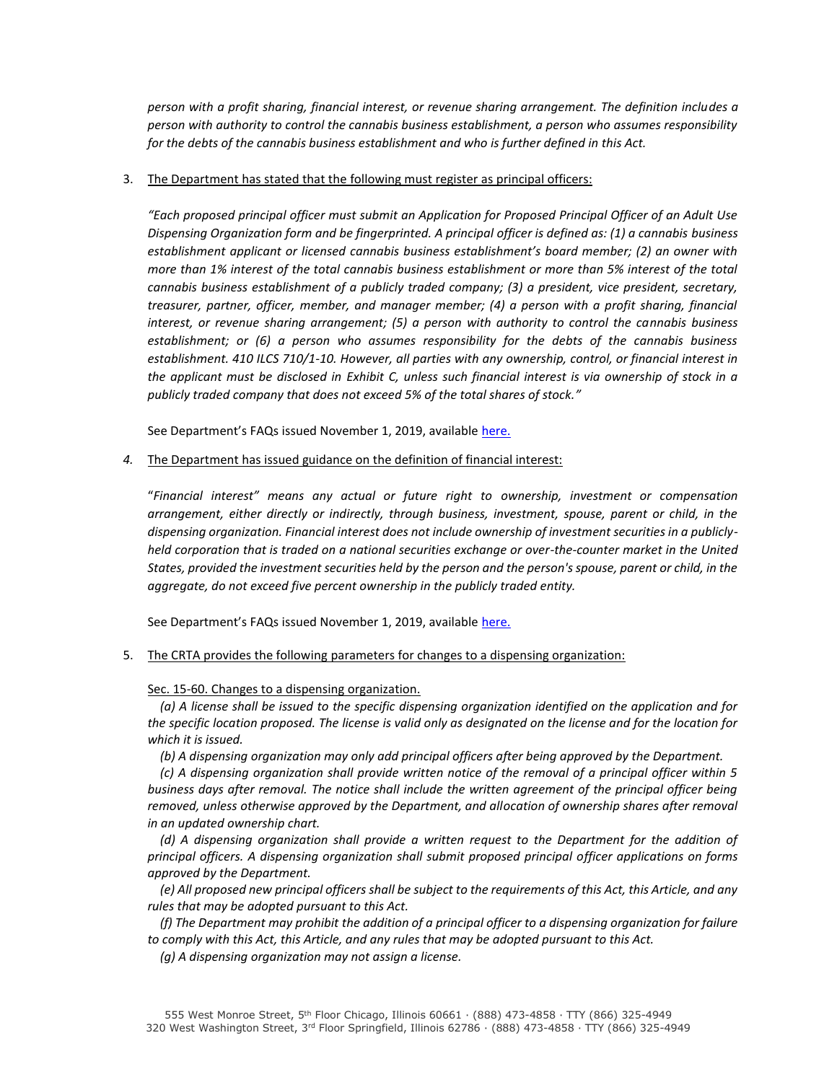*person with a profit sharing, financial interest, or revenue sharing arrangement. The definition includes a person with authority to control the cannabis business establishment, a person who assumes responsibility for the debts of the cannabis business establishment and who is further defined in this Act.*

### 3. The Department has stated that the following must register as principal officers:

*"Each proposed principal officer must submit an Application for Proposed Principal Officer of an Adult Use Dispensing Organization form and be fingerprinted. A principal officer is defined as: (1) a cannabis business establishment applicant or licensed cannabis business establishment's board member; (2) an owner with more than 1% interest of the total cannabis business establishment or more than 5% interest of the total cannabis business establishment of a publicly traded company; (3) a president, vice president, secretary, treasurer, partner, officer, member, and manager member; (4) a person with a profit sharing, financial interest, or revenue sharing arrangement; (5) a person with authority to control the cannabis business establishment; or (6) a person who assumes responsibility for the debts of the cannabis business establishment. 410 ILCS 710/1-10. However, all parties with any ownership, control, or financial interest in the applicant must be disclosed in Exhibit C, unless such financial interest is via ownership of stock in a publicly traded company that does not exceed 5% of the total shares of stock."*

See Department's FAQs issued November 1, 2019, available [here.](https://www.idfpr.com/Forms/AUC/Conditional%20Adult%20Use%20Dispensing%20Organization%20License%20Application%20QA%20Round%201.pdf)

*4.* The Department has issued guidance on the definition of financial interest:

"*Financial interest" means any actual or future right to ownership, investment or compensation arrangement, either directly or indirectly, through business, investment, spouse, parent or child, in the dispensing organization. Financial interest does not include ownership of investment securities in a publiclyheld corporation that is traded on a national securities exchange or over-the-counter market in the United States, provided the investment securities held by the person and the person's spouse, parent or child, in the aggregate, do not exceed five percent ownership in the publicly traded entity.*

See Department's FAQs issued November 1, 2019, available [here.](https://www.idfpr.com/Forms/AUC/Conditional%20Adult%20Use%20Dispensing%20Organization%20License%20Application%20QA%20Round%201.pdf)

5. The CRTA provides the following parameters for changes to a dispensing organization:

Sec. 15-60. Changes to a dispensing organization.

 *(a) A license shall be issued to the specific dispensing organization identified on the application and for*  the specific location proposed. The license is valid only as designated on the license and for the location for *which it is issued.*

 *(b) A dispensing organization may only add principal officers after being approved by the Department.*

 *(c) A dispensing organization shall provide written notice of the removal of a principal officer within 5 business days after removal. The notice shall include the written agreement of the principal officer being removed, unless otherwise approved by the Department, and allocation of ownership shares after removal in an updated ownership chart.*

 *(d) A dispensing organization shall provide a written request to the Department for the addition of principal officers. A dispensing organization shall submit proposed principal officer applications on forms approved by the Department.*

 *(e) All proposed new principal officers shall be subject to the requirements of this Act, this Article, and any rules that may be adopted pursuant to this Act.*

 *(f) The Department may prohibit the addition of a principal officer to a dispensing organization for failure to comply with this Act, this Article, and any rules that may be adopted pursuant to this Act.*

 *(g) A dispensing organization may not assign a license.*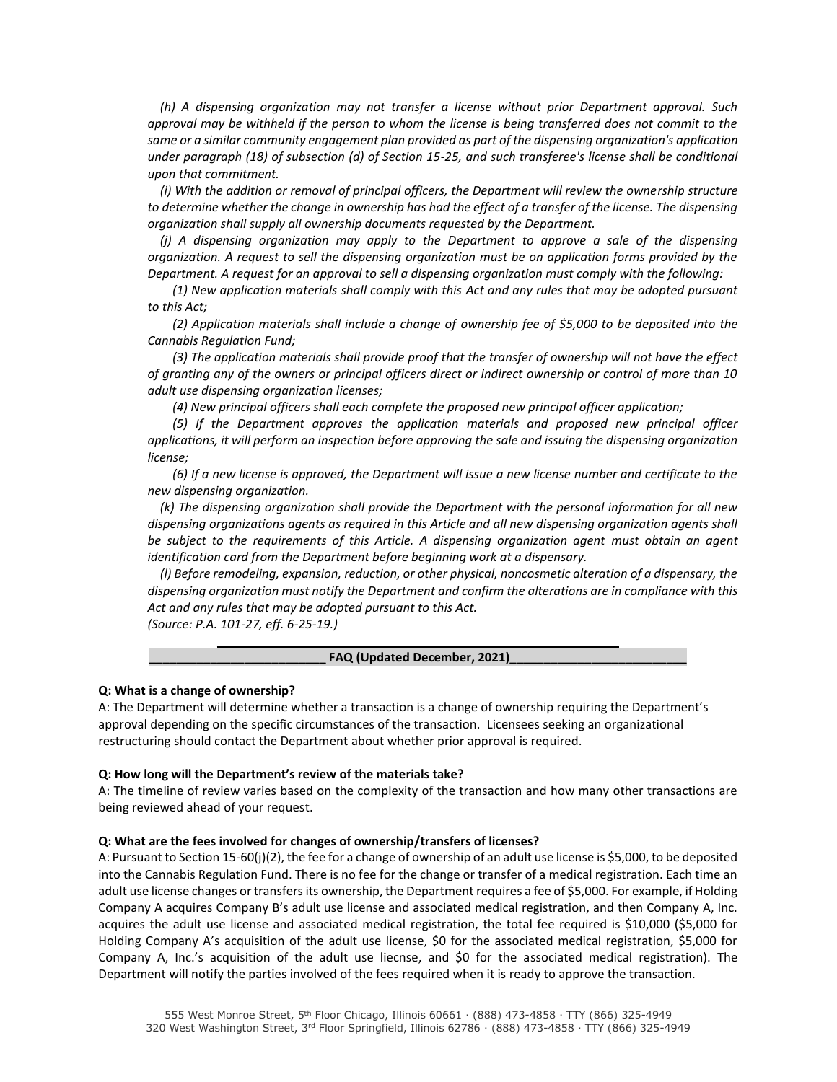*(h) A dispensing organization may not transfer a license without prior Department approval. Such approval may be withheld if the person to whom the license is being transferred does not commit to the same or a similar community engagement plan provided as part of the dispensing organization's application under paragraph (18) of subsection (d) of Section 15-25, and such transferee's license shall be conditional upon that commitment.*

 *(i) With the addition or removal of principal officers, the Department will review the ownership structure*  to determine whether the change in ownership has had the effect of a transfer of the license. The dispensing *organization shall supply all ownership documents requested by the Department.*

 *(j) A dispensing organization may apply to the Department to approve a sale of the dispensing organization. A request to sell the dispensing organization must be on application forms provided by the Department. A request for an approval to sell a dispensing organization must comply with the following:*

 *(1) New application materials shall comply with this Act and any rules that may be adopted pursuant to this Act;*

 *(2) Application materials shall include a change of ownership fee of \$5,000 to be deposited into the Cannabis Regulation Fund;*

 *(3) The application materials shall provide proof that the transfer of ownership will not have the effect of granting any of the owners or principal officers direct or indirect ownership or control of more than 10 adult use dispensing organization licenses;*

 *(4) New principal officers shall each complete the proposed new principal officer application;*

 *(5) If the Department approves the application materials and proposed new principal officer applications, it will perform an inspection before approving the sale and issuing the dispensing organization license;*

 *(6) If a new license is approved, the Department will issue a new license number and certificate to the new dispensing organization.*

 *(k) The dispensing organization shall provide the Department with the personal information for all new dispensing organizations agents as required in this Article and all new dispensing organization agents shall be subject to the requirements of this Article. A dispensing organization agent must obtain an agent identification card from the Department before beginning work at a dispensary.*

 *(l) Before remodeling, expansion, reduction, or other physical, noncosmetic alteration of a dispensary, the dispensing organization must notify the Department and confirm the alterations are in compliance with this Act and any rules that may be adopted pursuant to this Act.*

*(Source: P.A. 101-27, eff. 6-25-19.)*

#### **\_\_\_\_\_\_\_\_\_\_\_\_\_\_\_\_\_\_\_\_\_\_\_\_\_\_\_\_\_\_\_\_\_\_\_\_\_\_\_\_\_\_\_\_\_\_\_\_\_\_\_\_\_\_\_\_\_\_\_** FAQ (Updated December, 2021)

#### **Q: What is a change of ownership?**

A: The Department will determine whether a transaction is a change of ownership requiring the Department's approval depending on the specific circumstances of the transaction. Licensees seeking an organizational restructuring should contact the Department about whether prior approval is required.

#### **Q: How long will the Department's review of the materials take?**

A: The timeline of review varies based on the complexity of the transaction and how many other transactions are being reviewed ahead of your request.

### **Q: What are the fees involved for changes of ownership/transfers of licenses?**

A: Pursuant to Section 15-60(j)(2), the fee for a change of ownership of an adult use license is \$5,000, to be deposited into the Cannabis Regulation Fund. There is no fee for the change or transfer of a medical registration. Each time an adult use license changes or transfers its ownership, the Department requires a fee of \$5,000. For example, if Holding Company A acquires Company B's adult use license and associated medical registration, and then Company A, Inc. acquires the adult use license and associated medical registration, the total fee required is \$10,000 (\$5,000 for Holding Company A's acquisition of the adult use license, \$0 for the associated medical registration, \$5,000 for Company A, Inc.'s acquisition of the adult use liecnse, and \$0 for the associated medical registration). The Department will notify the parties involved of the fees required when it is ready to approve the transaction.